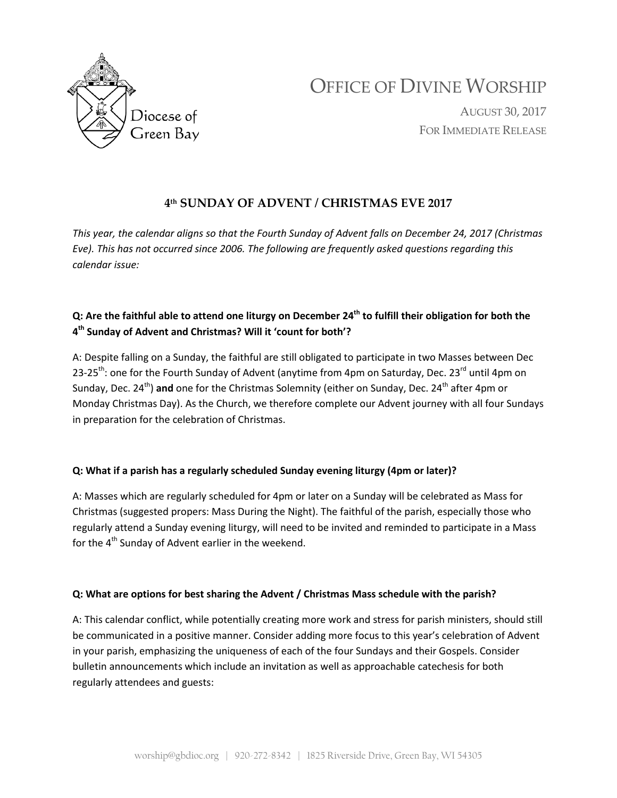

# OFFICE OF DIVINE WORSHIP

AUGUST 30, 2017 FOR IMMEDIATE RELEASE

# **4th SUNDAY OF ADVENT / CHRISTMAS EVE 2017**

*This year, the calendar aligns so that the Fourth Sunday of Advent falls on December 24, 2017 (Christmas Eve). This has not occurred since 2006. The following are frequently asked questions regarding this calendar issue:*

## **Q: Are the faithful able to attend one liturgy on December 24th to fulfill their obligation for both the 4th Sunday of Advent and Christmas? Will it 'count for both'?**

A: Despite falling on a Sunday, the faithful are still obligated to participate in two Masses between Dec 23-25<sup>th</sup>: one for the Fourth Sunday of Advent (anytime from 4pm on Saturday, Dec. 23<sup>rd</sup> until 4pm on Sunday, Dec. 24<sup>th</sup>) and one for the Christmas Solemnity (either on Sunday, Dec. 24<sup>th</sup> after 4pm or Monday Christmas Day). As the Church, we therefore complete our Advent journey with all four Sundays in preparation for the celebration of Christmas.

### **Q: What if a parish has a regularly scheduled Sunday evening liturgy (4pm or later)?**

A: Masses which are regularly scheduled for 4pm or later on a Sunday will be celebrated as Mass for Christmas (suggested propers: Mass During the Night). The faithful of the parish, especially those who regularly attend a Sunday evening liturgy, will need to be invited and reminded to participate in a Mass for the  $4<sup>th</sup>$  Sunday of Advent earlier in the weekend.

#### **Q: What are options for best sharing the Advent / Christmas Mass schedule with the parish?**

A: This calendar conflict, while potentially creating more work and stress for parish ministers, should still be communicated in a positive manner. Consider adding more focus to this year's celebration of Advent in your parish, emphasizing the uniqueness of each of the four Sundays and their Gospels. Consider bulletin announcements which include an invitation as well as approachable catechesis for both regularly attendees and guests: